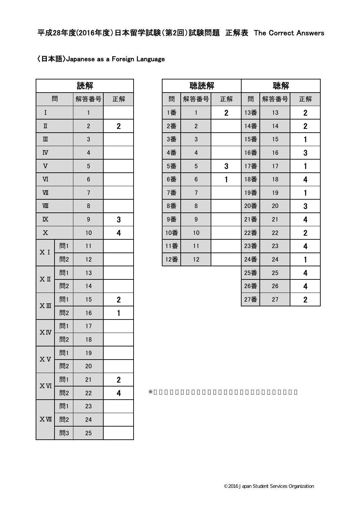### 〈日本語〉Japanese as a Foreign Language

| 読解                                |    |                |             |  |  |  |  |
|-----------------------------------|----|----------------|-------------|--|--|--|--|
|                                   | 問  | 解答番号           | 正解          |  |  |  |  |
| I                                 |    | $\mathbf{1}$   |             |  |  |  |  |
| Π                                 |    | $\overline{2}$ | $\mathbf 2$ |  |  |  |  |
| Ш                                 |    | 3              |             |  |  |  |  |
| $\ensuremath{\mathsf{IV}}\xspace$ |    | 4              |             |  |  |  |  |
| $\mathbf V$                       |    | 5              |             |  |  |  |  |
| VI                                |    | $6\phantom{a}$ |             |  |  |  |  |
| VШ                                |    | 7              |             |  |  |  |  |
| VШ                                |    | 8              |             |  |  |  |  |
| $\overline{\mathbf{X}}$           |    | 9              | 3           |  |  |  |  |
| X                                 |    | 10             | 4           |  |  |  |  |
| X I                               | 問1 | 11             |             |  |  |  |  |
|                                   | 問2 | 12             |             |  |  |  |  |
| ХI                                | 問1 | 13             |             |  |  |  |  |
|                                   | 問2 | 14             |             |  |  |  |  |
| $X \nightharpoonup$               | 問1 | 15             | $\mathbf 2$ |  |  |  |  |
|                                   | 問2 | 16             | 1           |  |  |  |  |
| XN                                | 問1 | 17             |             |  |  |  |  |
|                                   | 問2 | 18             |             |  |  |  |  |
| X V                               | 問1 | 19             |             |  |  |  |  |
|                                   | 問2 | 20             |             |  |  |  |  |
| X <sub>W</sub>                    | 問1 | 21             | $\mathbf 2$ |  |  |  |  |
|                                   | 問2 | 22             | 4           |  |  |  |  |
|                                   | 問1 | 23             |             |  |  |  |  |
| XШ                                | 問2 | 24             |             |  |  |  |  |
|                                   | 問3 | 25             |             |  |  |  |  |

| 読解                                    |    |                         |                | 聴読解 |                         |                | 聴解  |      |                         |
|---------------------------------------|----|-------------------------|----------------|-----|-------------------------|----------------|-----|------|-------------------------|
| 問                                     |    | 解答番号                    | 正解             | 問   | 解答番号                    | 正解             | 問   | 解答番号 | 正解                      |
| $\bf{I}$                              |    | 1                       |                | 1番  | 1                       | $\overline{2}$ | 13番 | 13   | $\overline{2}$          |
| $\rm I\hspace{-0.5mm}I$               |    | $\overline{2}$          | $\overline{2}$ | 2番  | $\overline{2}$          |                | 14番 | 14   | $\overline{2}$          |
| $\rm I\hspace{-.1em}I\hspace{-.1em}I$ |    | 3                       |                | 3番  | $\mathbf 3$             |                | 15番 | 15   | 1                       |
| $\overline{\text{W}}$                 |    | $\overline{\mathbf{4}}$ |                | 4番  | $\overline{\mathbf{4}}$ |                | 16番 | 16   | 3                       |
| $\overline{\mathsf{V}}$               |    | $5\phantom{.0}$         |                | 5番  | $5\phantom{.0}$         | 3              | 17番 | 17   | 1                       |
| W.                                    |    | $\boldsymbol{6}$        |                | 6番  | $\bf 6$                 | 1              | 18番 | 18   | $\overline{\mathbf{4}}$ |
| Ш                                     |    | $\overline{7}$          |                | 7番  | $\overline{7}$          |                | 19番 | 19   | 1                       |
| Ш                                     |    | 8                       |                | 8番  | 8                       |                | 20番 | 20   | 3                       |
| $\overline{\mathbf{K}}$               |    | $\boldsymbol{9}$        | $\overline{3}$ | 9番  | 9                       |                | 21番 | 21   | $\overline{\mathbf{4}}$ |
| $\mathbf x$                           |    | 10                      | 4              | 10番 | 10                      |                | 22番 | 22   | $\mathbf{2}$            |
| $\overline{I}$                        | 問1 | 11                      |                | 11番 | 11                      |                | 23番 | 23   | $\overline{\mathbf{4}}$ |
|                                       | 問2 | 12                      |                | 12番 | 12                      |                | 24番 | 24   | 1                       |
| $\overline{\mathfrak{c}}$ II          | 問1 | 13                      |                |     |                         |                | 25番 | 25   | $\overline{\mathbf{4}}$ |
|                                       | 問2 | 14                      |                |     |                         |                | 26番 | 26   | $\overline{\mathbf{4}}$ |
| $7 \, \mathrm{m}$                     | 問1 | 15                      | $\overline{2}$ |     |                         |                | 27番 | 27   | $\mathbf{2}$            |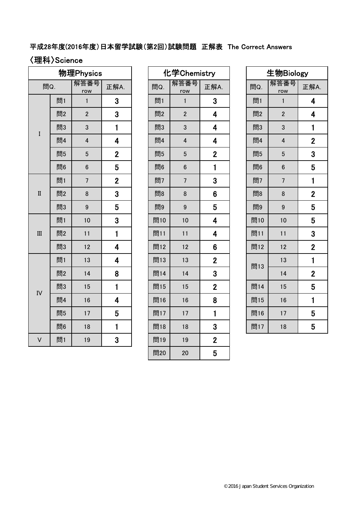### 平成28年度(2016年度)日本留学試験(第2回)試験問題 正解表 The Correct Answers

# 〈理科〉Science

|                   |    | 物理Physics               |                         |     | 化学Chemistry             |                  |
|-------------------|----|-------------------------|-------------------------|-----|-------------------------|------------------|
| 問Q.               |    | 解答番号<br>row             | 正解A.                    | 問Q. | 解答番号<br>row             | 正解               |
|                   | 問1 | $\mathbf{1}$            | 3                       | 問1  | $\mathbf{1}$            | 3                |
|                   | 問2 | $\overline{2}$          | 3                       | 問2  | $\overline{2}$          | 4                |
| I                 | 問3 | 3                       | $\mathbf{1}$            | 問3  | 3                       | 4                |
|                   | 問4 | $\overline{\mathbf{4}}$ | 4                       | 問4  | $\overline{\mathbf{4}}$ | 4                |
|                   | 問5 | $5\phantom{.0}$         | $\mathbf{2}$            | 問5  | $5\phantom{.0}$         | $\overline{2}$   |
|                   | 問6 | $6\phantom{.}$          | 5                       | 問6  | $6\phantom{1}$          | $\mathbf{1}$     |
|                   | 問1 | $\overline{7}$          | $\mathbf{2}$            | 問7  | $\overline{7}$          | 3                |
| $\rm II$          | 問2 | 8                       | 3                       | 問8  | 8                       | $\boldsymbol{6}$ |
|                   | 問3 | $\boldsymbol{9}$        | 5                       | 問9  | $\boldsymbol{9}$        | 5                |
|                   | 問1 | 10                      | 3                       | 問10 | 10                      | 4                |
| $\quad \  \  III$ | 問2 | 11                      | $\mathbf{1}$            | 問11 | 11                      | 4                |
|                   | 問3 | 12                      | $\overline{\mathbf{4}}$ | 問12 | 12                      | 6                |
|                   | 問1 | 13                      | 4                       | 問13 | 13                      | $\overline{2}$   |
|                   | 問2 | 14                      | 8                       | 問14 | 14                      | 3                |
| IV                | 問3 | 15                      | $\blacksquare$          | 問15 | 15                      | $\overline{2}$   |
|                   | 問4 | 16                      | 4                       | 問16 | 16                      | 8                |
|                   | 問5 | 17                      | 5                       | 問17 | 17                      | $\mathbf{1}$     |
|                   | 問6 | 18                      | $\mathbf{1}$            | 問18 | 18                      | 3                |
| $\vee$            | 問1 | 19                      | 3                       | 問19 | 19                      | $\overline{2}$   |

|    | 物理Physics               |                |     | 化学Chemistry             |                         |     | 生物Biology               |                         |
|----|-------------------------|----------------|-----|-------------------------|-------------------------|-----|-------------------------|-------------------------|
|    | 解答番号<br>row             | 正解A.           | 問Q. | 解答番号<br>row             | 正解A.                    | 問Q. | 解答番号<br>row             | 正解                      |
| 問1 | $\mathbf{1}$            | 3              | 問1  | $\mathbf{1}$            | 3                       | 問1  | $\mathbf{1}$            | 4                       |
| 問2 | $\overline{2}$          | 3              | 問2  | $\overline{2}$          | $\overline{\mathbf{4}}$ | 問2  | $\overline{2}$          | $\overline{\mathbf{A}}$ |
| 問3 | 3                       | 1              | 問3  | 3                       | 4                       | 問3  | $\mathsf 3$             | 1                       |
| 問4 | $\overline{\mathbf{4}}$ | 4              | 問4  | $\overline{\mathbf{4}}$ | $\overline{\mathbf{4}}$ | 問4  | $\overline{\mathbf{4}}$ | $\overline{\mathbf{c}}$ |
| 問5 | $\sqrt{5}$              | $\overline{2}$ | 問5  | $\sqrt{5}$              | $\boldsymbol{2}$        | 問5  | $\sqrt{5}$              | 3                       |
| 問6 | $\boldsymbol{6}$        | 5              | 問6  | $\bf 6$                 | $\mathbf{1}$            | 問6  | $\bf 6$                 | 5                       |
| 問1 | $\overline{7}$          | $\overline{2}$ | 問7  | $\overline{7}$          | 3                       | 問7  | $\overline{7}$          | $\mathbf{1}$            |
| 問2 | 8                       | 3              | 問8  | 8                       | $6\phantom{1}$          | 問8  | $\bf 8$                 | $\overline{2}$          |
| 問3 | 9                       | 5              | 問9  | $\boldsymbol{9}$        | 5                       | 問9  | $\boldsymbol{9}$        | 5                       |
| 問1 | 10                      | 3              | 問10 | 10                      | 4                       | 問10 | 10                      | 5                       |
| 問2 | 11                      | $\mathbf{1}$   | 問11 | 11                      | 4                       | 問11 | 11                      | 3                       |
| 問3 | 12                      | 4              | 問12 | 12                      | $6\phantom{1}$          | 問12 | 12                      | $\overline{2}$          |
| 問1 | 13                      | 4              | 問13 | 13                      | $\overline{2}$          | 問13 | 13                      | $\mathbf{1}$            |
| 問2 | 14                      | 8              | 問14 | 14                      | 3                       |     | 14                      | $\overline{\mathbf{c}}$ |
| 問3 | 15                      | $\mathbf{1}$   | 問15 | 15                      | $\overline{2}$          | 問14 | 15                      | 5                       |
| 問4 | 16                      | 4              | 問16 | 16                      | 8                       | 問15 | 16                      | $\mathbf{1}$            |
| 問5 | 17                      | 5              | 問17 | 17                      | $\mathbf{1}$            | 問16 | 17                      | 5                       |
| 問6 | 18                      | $\mathbf{1}$   | 問18 | 18                      | 3                       | 問17 | 18                      | 5                       |
| 問1 | 19                      | 3              | 問19 | 19                      | $\overline{2}$          |     |                         |                         |
|    |                         |                | 問20 | 20                      | 5                       |     |                         |                         |

| 生物Biology |                |                |  |  |  |  |  |
|-----------|----------------|----------------|--|--|--|--|--|
| 問Q.       | 解答番号<br>row    | 正解A.           |  |  |  |  |  |
| 問1        | 1              | 4              |  |  |  |  |  |
| 問2        | $\overline{2}$ | 4              |  |  |  |  |  |
| 問3        | 3              | 1              |  |  |  |  |  |
| 問4        | 4              | $\mathbf 2$    |  |  |  |  |  |
| 問5        | 5              | 3              |  |  |  |  |  |
| 問6        | 6              | 5              |  |  |  |  |  |
| 問7        | 7              | 1              |  |  |  |  |  |
| 問8        | 8              | $\mathbf 2$    |  |  |  |  |  |
| 問9        | 9              | 5              |  |  |  |  |  |
| 問10       | 10             | 5              |  |  |  |  |  |
| 問11       | 11             | 3              |  |  |  |  |  |
| 問12       | 12             | $\overline{2}$ |  |  |  |  |  |
| 問13       | 13             | 1              |  |  |  |  |  |
|           | 14             | $\overline{2}$ |  |  |  |  |  |
| 問14       | 15             | 5              |  |  |  |  |  |
| 問15       | 16             | 1              |  |  |  |  |  |
| 問16       | 17             | 5              |  |  |  |  |  |
| 問17       | 18             | 5              |  |  |  |  |  |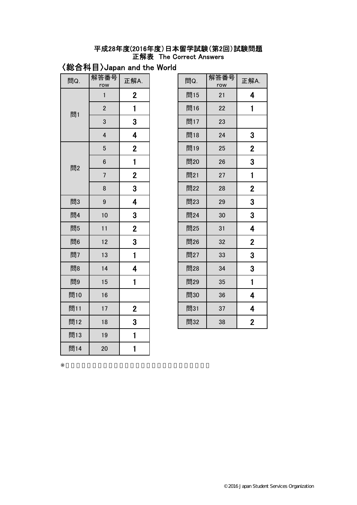#### 平成28年度(2016年度)日本留学試験(第2回)試験問題 正解表 The Correct Answers

## 〈総合科目〉Japan and the World

| 問Q. | 解答番号<br>row             | 正解A.                    | 問Q. | 解答番号<br>row | 正解             |
|-----|-------------------------|-------------------------|-----|-------------|----------------|
|     | $\mathbf{1}$            | $\overline{2}$          | 問15 | 21          | 4              |
| 問1  | $\overline{2}$          | $\mathbf{1}$            | 問16 | 22          | 1              |
|     | 3                       | $\overline{\mathbf{3}}$ | 問17 | 23          |                |
|     | $\overline{\mathbf{4}}$ | $\overline{\mathbf{4}}$ | 問18 | 24          | 3              |
|     | $\overline{5}$          | $\mathbf{2}$            | 問19 | 25          | $\overline{2}$ |
| 問2  | $\boldsymbol{6}$        | $\mathbf{1}$            | 問20 | 26          | 3              |
|     | $\overline{7}$          | $\mathbf{2}$            | 問21 | 27          | $\mathbf{1}$   |
|     | 8                       | 3                       | 問22 | 28          | $\overline{2}$ |
| 問3  | $\overline{9}$          | $\overline{\mathbf{4}}$ | 問23 | 29          | 3              |
| 問4  | 10                      | $\mathbf{3}$            | 問24 | 30          | 3              |
| 問5  | 11                      | $\overline{2}$          | 問25 | 31          | 4              |
| 問6  | 12                      | $\mathbf{3}$            | 問26 | 32          | $\overline{2}$ |
| 問7  | 13                      | $\mathbf{1}$            | 問27 | 33          | 3              |
| 問8  | 14                      | $\overline{\mathbf{4}}$ | 問28 | 34          | 3              |
| 問9  | 15                      | 1                       | 問29 | 35          | $\mathbf{1}$   |
| 問10 | 16                      |                         | 問30 | 36          | 4              |
| 問11 | 17                      | $\overline{2}$          | 問31 | 37          | 4              |
| 問12 | 18                      | 3                       | 問32 | 38          | $\overline{2}$ |
| 問13 | $19$                    | 1                       |     |             |                |
| 問14 | 20                      | $\mathbf{1}$            |     |             |                |

| 答番号<br>row              | 正解A.           | 問Q. | 解答番号<br>row | 正解A.                    |
|-------------------------|----------------|-----|-------------|-------------------------|
| $\mathbf{1}$            | $\overline{2}$ | 問15 | 21          | 4                       |
| $\overline{2}$          | 1              | 問16 | 22          | $\mathbf{1}$            |
| 3                       | 3              | 問17 | 23          |                         |
| $\overline{\mathbf{4}}$ | 4              | 問18 | 24          | $\mathbf{3}$            |
| 5                       | $\mathbf 2$    | 問19 | 25          | $\mathbf 2$             |
| $6\phantom{a}$          | 1              | 問20 | 26          | $\overline{\mathbf{3}}$ |
| $\overline{7}$          | $\mathbf{2}$   | 問21 | 27          | $\blacksquare$          |
| 8                       | 3              | 問22 | 28          | $\mathbf 2$             |
| 9                       | 4              | 問23 | 29          | 3                       |
| 10                      | 3              | 問24 | 30          | 3                       |
| 11                      | $\mathbf{2}$   | 問25 | 31          | 4                       |
| 12                      | 3              | 問26 | 32          | $\mathbf{2}$            |
| 13                      | 1              | 問27 | 33          | 3                       |
| 14                      | 4              | 問28 | 34          | 3                       |
| 15                      | 1              | 問29 | 35          | 1                       |
| 16                      |                | 問30 | 36          | 4                       |
| 17                      | $\overline{2}$ | 問31 | 37          | 4                       |
| 18                      | 3              | 問32 | 38          | $\overline{\mathbf{c}}$ |